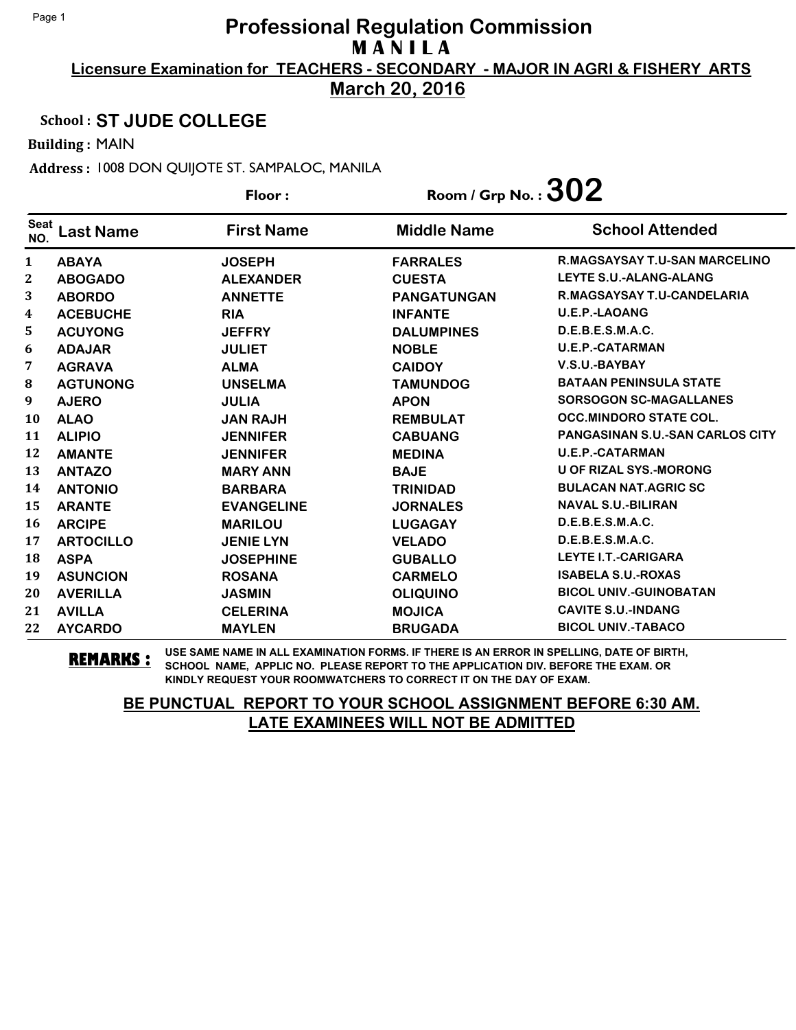**March 20, 2016**

### School : **ST JUDE COLLEGE**

Building : MAIN

Address : 1008 DON QUIJOTE ST. SAMPALOC, MANILA

|                    |                  | Floor:            | Room / Grp No. : $302$ |                                        |
|--------------------|------------------|-------------------|------------------------|----------------------------------------|
| <b>Seat</b><br>NO. | <b>Last Name</b> | <b>First Name</b> | <b>Middle Name</b>     | <b>School Attended</b>                 |
| $\mathbf{1}$       | <b>ABAYA</b>     | <b>JOSEPH</b>     | <b>FARRALES</b>        | R.MAGSAYSAY T.U-SAN MARCELINO          |
| 2                  | <b>ABOGADO</b>   | <b>ALEXANDER</b>  | <b>CUESTA</b>          | LEYTE S.U.-ALANG-ALANG                 |
| 3                  | <b>ABORDO</b>    | <b>ANNETTE</b>    | <b>PANGATUNGAN</b>     | R.MAGSAYSAY T.U-CANDELARIA             |
| 4                  | <b>ACEBUCHE</b>  | <b>RIA</b>        | <b>INFANTE</b>         | <b>U.E.P.-LAOANG</b>                   |
| 5                  | <b>ACUYONG</b>   | <b>JEFFRY</b>     | <b>DALUMPINES</b>      | D.E.B.E.S.M.A.C.                       |
| 6                  | <b>ADAJAR</b>    | <b>JULIET</b>     | <b>NOBLE</b>           | <b>U.E.P.-CATARMAN</b>                 |
| 7                  | <b>AGRAVA</b>    | <b>ALMA</b>       | <b>CAIDOY</b>          | V.S.U.-BAYBAY                          |
| ${\bf 8}$          | <b>AGTUNONG</b>  | <b>UNSELMA</b>    | <b>TAMUNDOG</b>        | <b>BATAAN PENINSULA STATE</b>          |
| 9                  | <b>AJERO</b>     | <b>JULIA</b>      | <b>APON</b>            | <b>SORSOGON SC-MAGALLANES</b>          |
| 10                 | <b>ALAO</b>      | <b>JAN RAJH</b>   | <b>REMBULAT</b>        | <b>OCC.MINDORO STATE COL.</b>          |
| 11                 | <b>ALIPIO</b>    | <b>JENNIFER</b>   | <b>CABUANG</b>         | <b>PANGASINAN S.U.-SAN CARLOS CITY</b> |
| 12                 | <b>AMANTE</b>    | <b>JENNIFER</b>   | <b>MEDINA</b>          | <b>U.E.P.-CATARMAN</b>                 |
| 13                 | <b>ANTAZO</b>    | <b>MARY ANN</b>   | <b>BAJE</b>            | <b>U OF RIZAL SYS.-MORONG</b>          |
| 14                 | <b>ANTONIO</b>   | <b>BARBARA</b>    | <b>TRINIDAD</b>        | <b>BULACAN NAT.AGRIC SC</b>            |
| 15                 | <b>ARANTE</b>    | <b>EVANGELINE</b> | <b>JORNALES</b>        | <b>NAVAL S.U.-BILIRAN</b>              |
| 16                 | <b>ARCIPE</b>    | <b>MARILOU</b>    | <b>LUGAGAY</b>         | D.E.B.E.S.M.A.C.                       |
| 17                 | <b>ARTOCILLO</b> | <b>JENIE LYN</b>  | <b>VELADO</b>          | D.E.B.E.S.M.A.C.                       |
| 18                 | <b>ASPA</b>      | <b>JOSEPHINE</b>  | <b>GUBALLO</b>         | <b>LEYTE I.T.-CARIGARA</b>             |
| 19                 | <b>ASUNCION</b>  | <b>ROSANA</b>     | <b>CARMELO</b>         | <b>ISABELA S.U.-ROXAS</b>              |
| 20                 | <b>AVERILLA</b>  | <b>JASMIN</b>     | <b>OLIQUINO</b>        | <b>BICOL UNIV.-GUINOBATAN</b>          |
| 21                 | <b>AVILLA</b>    | <b>CELERINA</b>   | <b>MOJICA</b>          | <b>CAVITE S.U.-INDANG</b>              |
| 22                 | <b>AYCARDO</b>   | <b>MAYLEN</b>     | <b>BRUGADA</b>         | <b>BICOL UNIV.-TABACO</b>              |

**REMARKS :** USE SAME NAME IN ALL EXAMINATION FORMS. IF THERE IS AN ERROR IN SPELLING, DATE OF BIRTH, SCHOOL NAME, APPLIC NO. PLEASE REPORT TO THE APPLICATION DIV. BEFORE THE EXAM. OR KINDLY REQUEST YOUR ROOMWATCHERS TO CORRECT IT ON THE DAY OF EXAM.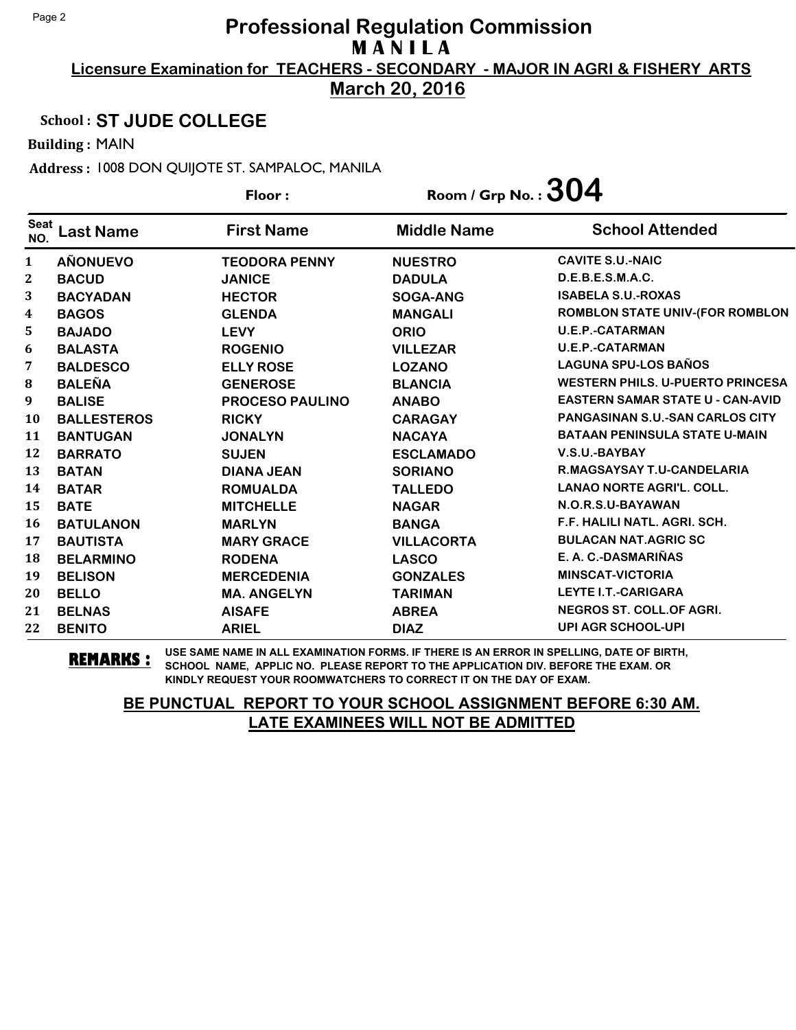**March 20, 2016**

### School : **ST JUDE COLLEGE**

Building : MAIN

Address : 1008 DON QUIJOTE ST. SAMPALOC, MANILA

|                    |                    | Floor:                 | Room / Grp No. : $304$ |                                         |
|--------------------|--------------------|------------------------|------------------------|-----------------------------------------|
| <b>Seat</b><br>NO. | _ast Name          | <b>First Name</b>      | <b>Middle Name</b>     | <b>School Attended</b>                  |
| 1                  | <b>AÑONUEVO</b>    | <b>TEODORA PENNY</b>   | <b>NUESTRO</b>         | <b>CAVITE S.U.-NAIC</b>                 |
| $\boldsymbol{2}$   | <b>BACUD</b>       | <b>JANICE</b>          | <b>DADULA</b>          | D.E.B.E.S.M.A.C.                        |
| 3                  | <b>BACYADAN</b>    | <b>HECTOR</b>          | SOGA-ANG               | <b>ISABELA S.U.-ROXAS</b>               |
| 4                  | <b>BAGOS</b>       | <b>GLENDA</b>          | <b>MANGALI</b>         | <b>ROMBLON STATE UNIV-(FOR ROMBLON</b>  |
| 5                  | <b>BAJADO</b>      | <b>LEVY</b>            | <b>ORIO</b>            | <b>U.E.P.-CATARMAN</b>                  |
| 6                  | <b>BALASTA</b>     | <b>ROGENIO</b>         | <b>VILLEZAR</b>        | <b>U.E.P.-CATARMAN</b>                  |
| 7                  | <b>BALDESCO</b>    | <b>ELLY ROSE</b>       | <b>LOZANO</b>          | <b>LAGUNA SPU-LOS BAÑOS</b>             |
| ${\bf 8}$          | <b>BALEÑA</b>      | <b>GENEROSE</b>        | <b>BLANCIA</b>         | <b>WESTERN PHILS, U-PUERTO PRINCESA</b> |
| 9                  | <b>BALISE</b>      | <b>PROCESO PAULINO</b> | <b>ANABO</b>           | <b>EASTERN SAMAR STATE U - CAN-AVID</b> |
| 10                 | <b>BALLESTEROS</b> | <b>RICKY</b>           | <b>CARAGAY</b>         | <b>PANGASINAN S.U.-SAN CARLOS CITY</b>  |
| 11                 | <b>BANTUGAN</b>    | <b>JONALYN</b>         | <b>NACAYA</b>          | <b>BATAAN PENINSULA STATE U-MAIN</b>    |
| 12                 | <b>BARRATO</b>     | <b>SUJEN</b>           | <b>ESCLAMADO</b>       | V.S.U.-BAYBAY                           |
| 13                 | <b>BATAN</b>       | <b>DIANA JEAN</b>      | <b>SORIANO</b>         | R.MAGSAYSAY T.U-CANDELARIA              |
| 14                 | <b>BATAR</b>       | <b>ROMUALDA</b>        | <b>TALLEDO</b>         | <b>LANAO NORTE AGRI'L. COLL.</b>        |
| 15                 | <b>BATE</b>        | <b>MITCHELLE</b>       | <b>NAGAR</b>           | N.O.R.S.U-BAYAWAN                       |
| 16                 | <b>BATULANON</b>   | <b>MARLYN</b>          | <b>BANGA</b>           | F.F. HALILI NATL. AGRI. SCH.            |
| 17                 | <b>BAUTISTA</b>    | <b>MARY GRACE</b>      | <b>VILLACORTA</b>      | <b>BULACAN NAT.AGRIC SC</b>             |
| 18                 | <b>BELARMINO</b>   | <b>RODENA</b>          | <b>LASCO</b>           | E. A. C.-DASMARIÑAS                     |
| 19                 | <b>BELISON</b>     | <b>MERCEDENIA</b>      | <b>GONZALES</b>        | <b>MINSCAT-VICTORIA</b>                 |
| 20                 | <b>BELLO</b>       | <b>MA. ANGELYN</b>     | <b>TARIMAN</b>         | <b>LEYTE I.T.-CARIGARA</b>              |
| 21                 | <b>BELNAS</b>      | <b>AISAFE</b>          | <b>ABREA</b>           | <b>NEGROS ST. COLL.OF AGRI.</b>         |
| 22                 | <b>BENITO</b>      | <b>ARIEL</b>           | <b>DIAZ</b>            | <b>UPI AGR SCHOOL-UPI</b>               |

**REMARKS :** USE SAME NAME IN ALL EXAMINATION FORMS. IF THERE IS AN ERROR IN SPELLING, DATE OF BIRTH, SCHOOL NAME, APPLIC NO. PLEASE REPORT TO THE APPLICATION DIV. BEFORE THE EXAM. OR KINDLY REQUEST YOUR ROOMWATCHERS TO CORRECT IT ON THE DAY OF EXAM.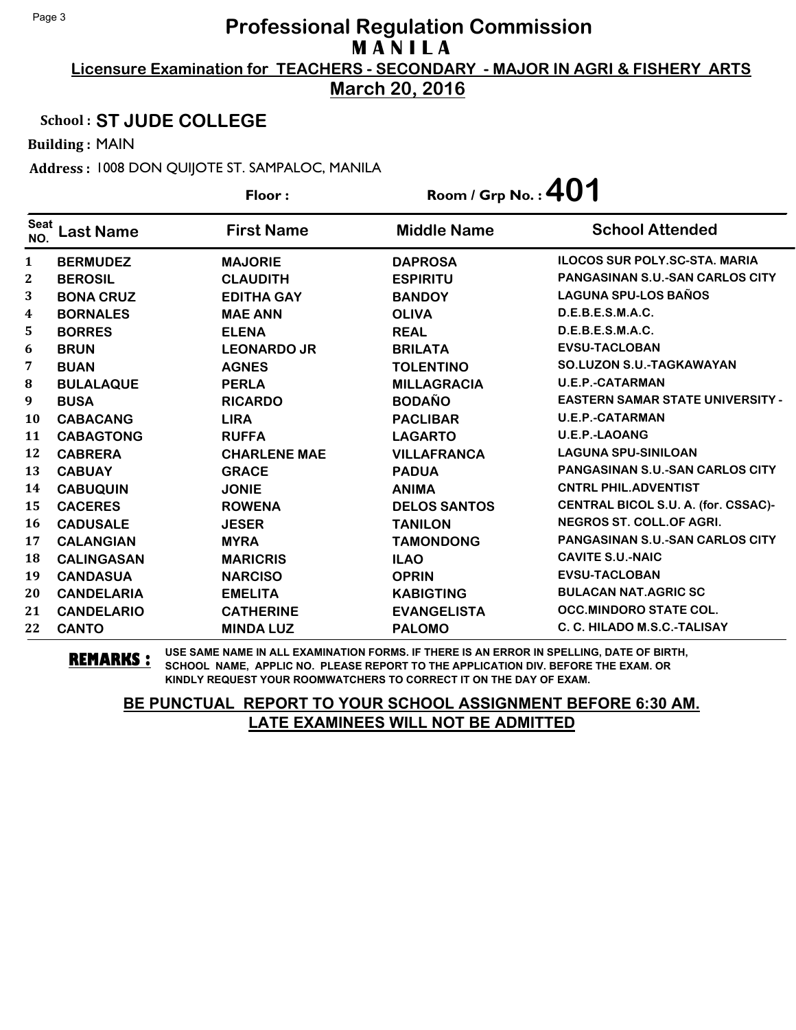**March 20, 2016**

### School : **ST JUDE COLLEGE**

Building : MAIN

Address : 1008 DON QUIJOTE ST. SAMPALOC, MANILA

|                    |                   | Floor:              | Room / Grp No.: $401$ |                                         |
|--------------------|-------------------|---------------------|-----------------------|-----------------------------------------|
| <b>Seat</b><br>NO. | <b>Last Name</b>  | <b>First Name</b>   | <b>Middle Name</b>    | <b>School Attended</b>                  |
| 1                  | <b>BERMUDEZ</b>   | <b>MAJORIE</b>      | <b>DAPROSA</b>        | <b>ILOCOS SUR POLY.SC-STA. MARIA</b>    |
| 2                  | <b>BEROSIL</b>    | <b>CLAUDITH</b>     | <b>ESPIRITU</b>       | PANGASINAN S.U.-SAN CARLOS CITY         |
| 3                  | <b>BONA CRUZ</b>  | <b>EDITHA GAY</b>   | <b>BANDOY</b>         | <b>LAGUNA SPU-LOS BAÑOS</b>             |
| 4                  | <b>BORNALES</b>   | <b>MAE ANN</b>      | <b>OLIVA</b>          | D.E.B.E.S.M.A.C.                        |
| 5                  | <b>BORRES</b>     | <b>ELENA</b>        | <b>REAL</b>           | D.E.B.E.S.M.A.C.                        |
| 6                  | <b>BRUN</b>       | <b>LEONARDO JR</b>  | <b>BRILATA</b>        | <b>EVSU-TACLOBAN</b>                    |
| 7                  | <b>BUAN</b>       | <b>AGNES</b>        | <b>TOLENTINO</b>      | <b>SO.LUZON S.U.-TAGKAWAYAN</b>         |
| 8                  | <b>BULALAQUE</b>  | <b>PERLA</b>        | <b>MILLAGRACIA</b>    | <b>U.E.P.-CATARMAN</b>                  |
| 9                  | <b>BUSA</b>       | <b>RICARDO</b>      | <b>BODAÑO</b>         | <b>EASTERN SAMAR STATE UNIVERSITY -</b> |
| 10                 | <b>CABACANG</b>   | <b>LIRA</b>         | <b>PACLIBAR</b>       | <b>U.E.P.-CATARMAN</b>                  |
| 11                 | <b>CABAGTONG</b>  | <b>RUFFA</b>        | <b>LAGARTO</b>        | <b>U.E.P.-LAOANG</b>                    |
| 12                 | <b>CABRERA</b>    | <b>CHARLENE MAE</b> | <b>VILLAFRANCA</b>    | <b>LAGUNA SPU-SINILOAN</b>              |
| 13                 | <b>CABUAY</b>     | <b>GRACE</b>        | <b>PADUA</b>          | <b>PANGASINAN S.U.-SAN CARLOS CITY</b>  |
| 14                 | <b>CABUQUIN</b>   | <b>JONIE</b>        | <b>ANIMA</b>          | <b>CNTRL PHIL.ADVENTIST</b>             |
| 15                 | <b>CACERES</b>    | <b>ROWENA</b>       | <b>DELOS SANTOS</b>   | CENTRAL BICOL S.U. A. (for. CSSAC)-     |
| 16                 | <b>CADUSALE</b>   | <b>JESER</b>        | <b>TANILON</b>        | NEGROS ST. COLL.OF AGRI.                |
| 17                 | <b>CALANGIAN</b>  | <b>MYRA</b>         | <b>TAMONDONG</b>      | <b>PANGASINAN S.U.-SAN CARLOS CITY</b>  |
| 18                 | <b>CALINGASAN</b> | <b>MARICRIS</b>     | <b>ILAO</b>           | <b>CAVITE S.U.-NAIC</b>                 |
| 19                 | <b>CANDASUA</b>   | <b>NARCISO</b>      | <b>OPRIN</b>          | <b>EVSU-TACLOBAN</b>                    |
| 20                 | <b>CANDELARIA</b> | <b>EMELITA</b>      | <b>KABIGTING</b>      | <b>BULACAN NAT.AGRIC SC</b>             |
| 21                 | <b>CANDELARIO</b> | <b>CATHERINE</b>    | <b>EVANGELISTA</b>    | <b>OCC.MINDORO STATE COL.</b>           |
| 22                 | <b>CANTO</b>      | <b>MINDA LUZ</b>    | <b>PALOMO</b>         | C. C. HILADO M.S.C.-TALISAY             |

**REMARKS :** USE SAME NAME IN ALL EXAMINATION FORMS. IF THERE IS AN ERROR IN SPELLING, DATE OF BIRTH, SCHOOL NAME, APPLIC NO. PLEASE REPORT TO THE APPLICATION DIV. BEFORE THE EXAM. OR KINDLY REQUEST YOUR ROOMWATCHERS TO CORRECT IT ON THE DAY OF EXAM.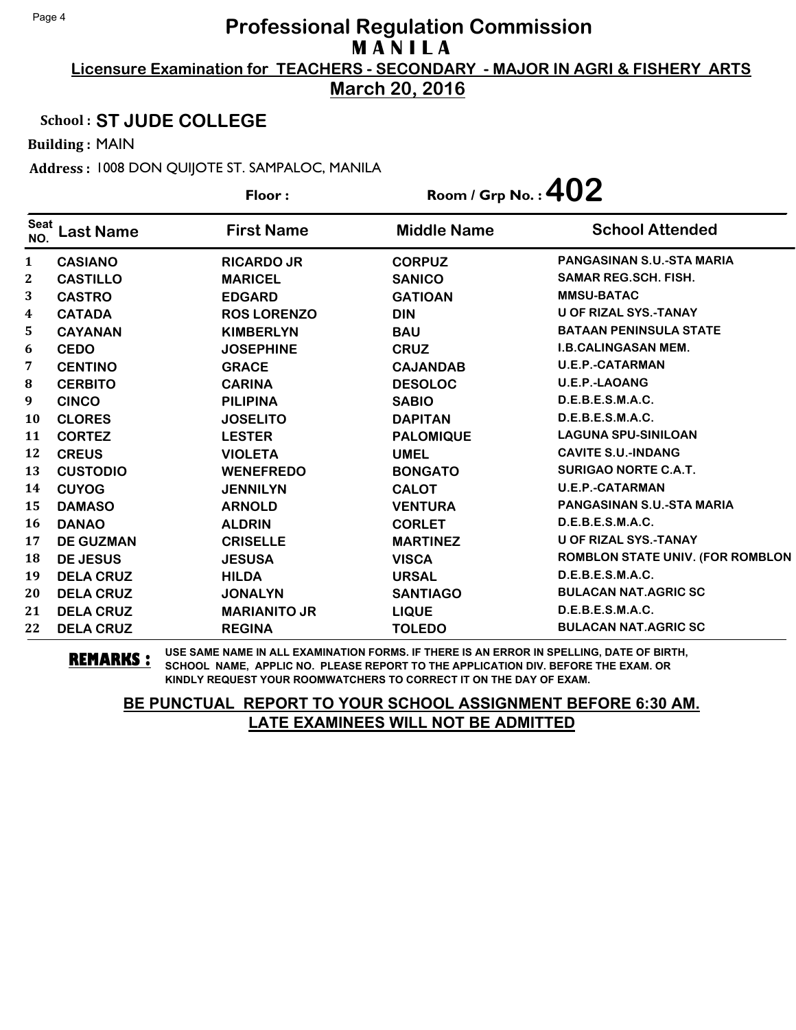**March 20, 2016**

### School : **ST JUDE COLLEGE**

Building : MAIN

Address : 1008 DON QUIJOTE ST. SAMPALOC, MANILA

|                    |                  | Floor:              | Room / Grp No. : $402$ |                                         |
|--------------------|------------------|---------------------|------------------------|-----------------------------------------|
| <b>Seat</b><br>NO. | <b>Last Name</b> | <b>First Name</b>   | <b>Middle Name</b>     | <b>School Attended</b>                  |
| 1                  | <b>CASIANO</b>   | <b>RICARDO JR</b>   | <b>CORPUZ</b>          | <b>PANGASINAN S.U.-STA MARIA</b>        |
| 2                  | <b>CASTILLO</b>  | <b>MARICEL</b>      | <b>SANICO</b>          | <b>SAMAR REG.SCH. FISH.</b>             |
| 3                  | <b>CASTRO</b>    | <b>EDGARD</b>       | <b>GATIOAN</b>         | <b>MMSU-BATAC</b>                       |
| 4                  | <b>CATADA</b>    | <b>ROS LORENZO</b>  | <b>DIN</b>             | <b>U OF RIZAL SYS.-TANAY</b>            |
| 5                  | <b>CAYANAN</b>   | <b>KIMBERLYN</b>    | <b>BAU</b>             | <b>BATAAN PENINSULA STATE</b>           |
| 6                  | <b>CEDO</b>      | <b>JOSEPHINE</b>    | <b>CRUZ</b>            | <b>I.B.CALINGASAN MEM.</b>              |
| 7                  | <b>CENTINO</b>   | <b>GRACE</b>        | <b>CAJANDAB</b>        | <b>U.E.P.-CATARMAN</b>                  |
| 8                  | <b>CERBITO</b>   | <b>CARINA</b>       | <b>DESOLOC</b>         | <b>U.E.P.-LAOANG</b>                    |
| 9                  | <b>CINCO</b>     | <b>PILIPINA</b>     | <b>SABIO</b>           | D.E.B.E.S.M.A.C.                        |
| 10                 | <b>CLORES</b>    | <b>JOSELITO</b>     | <b>DAPITAN</b>         | D.E.B.E.S.M.A.C.                        |
| 11                 | <b>CORTEZ</b>    | <b>LESTER</b>       | <b>PALOMIQUE</b>       | <b>LAGUNA SPU-SINILOAN</b>              |
| 12                 | <b>CREUS</b>     | <b>VIOLETA</b>      | <b>UMEL</b>            | <b>CAVITE S.U.-INDANG</b>               |
| 13                 | <b>CUSTODIO</b>  | <b>WENEFREDO</b>    | <b>BONGATO</b>         | <b>SURIGAO NORTE C.A.T.</b>             |
| 14                 | <b>CUYOG</b>     | <b>JENNILYN</b>     | <b>CALOT</b>           | <b>U.E.P.-CATARMAN</b>                  |
| 15                 | <b>DAMASO</b>    | <b>ARNOLD</b>       | <b>VENTURA</b>         | <b>PANGASINAN S.U.-STA MARIA</b>        |
| 16                 | <b>DANAO</b>     | <b>ALDRIN</b>       | <b>CORLET</b>          | D.E.B.E.S.M.A.C.                        |
| 17                 | <b>DE GUZMAN</b> | <b>CRISELLE</b>     | <b>MARTINEZ</b>        | <b>U OF RIZAL SYS.-TANAY</b>            |
| 18                 | <b>DE JESUS</b>  | <b>JESUSA</b>       | <b>VISCA</b>           | <b>ROMBLON STATE UNIV. (FOR ROMBLON</b> |
| 19                 | <b>DELA CRUZ</b> | <b>HILDA</b>        | <b>URSAL</b>           | D.E.B.E.S.M.A.C.                        |
| 20                 | <b>DELA CRUZ</b> | <b>JONALYN</b>      | <b>SANTIAGO</b>        | <b>BULACAN NAT.AGRIC SC</b>             |
| 21                 | <b>DELA CRUZ</b> | <b>MARIANITO JR</b> | <b>LIQUE</b>           | D.E.B.E.S.M.A.C.                        |
| 22                 | <b>DELA CRUZ</b> | <b>REGINA</b>       | <b>TOLEDO</b>          | <b>BULACAN NAT.AGRIC SC</b>             |

**REMARKS :** USE SAME NAME IN ALL EXAMINATION FORMS. IF THERE IS AN ERROR IN SPELLING, DATE OF BIRTH, SCHOOL NAME, APPLIC NO. PLEASE REPORT TO THE APPLICATION DIV. BEFORE THE EXAM. OR KINDLY REQUEST YOUR ROOMWATCHERS TO CORRECT IT ON THE DAY OF EXAM.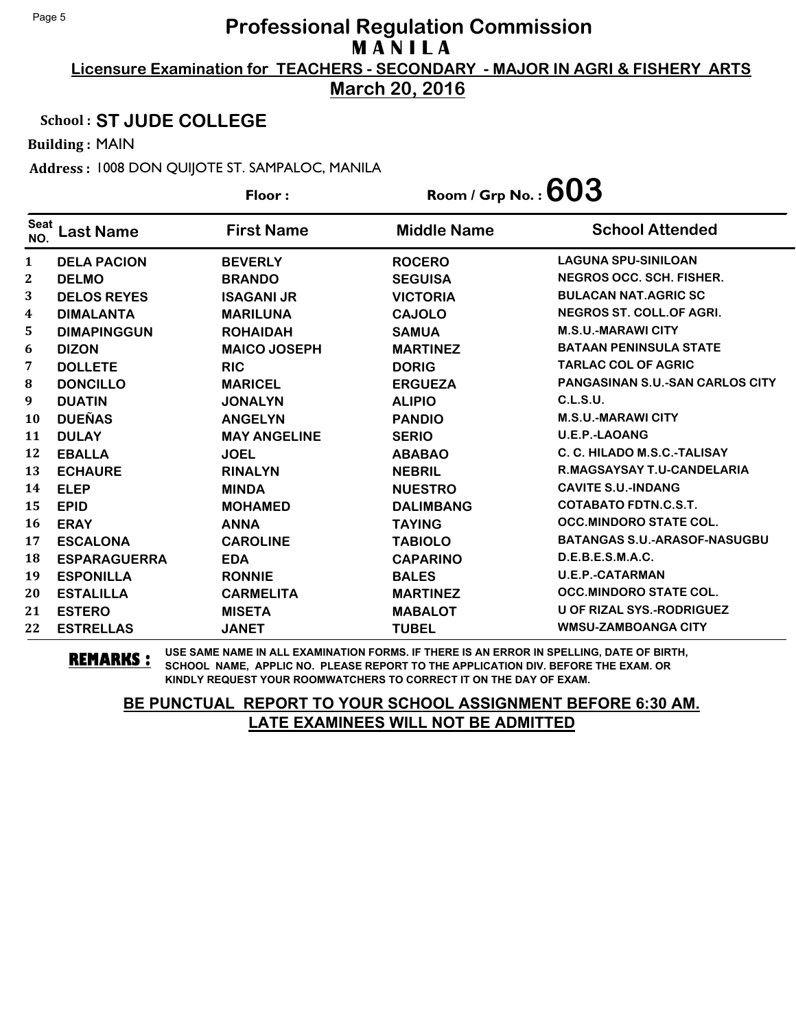**March 20, 2016**

### School : **ST JUDE COLLEGE**

Building : MAIN

Address : 1008 DON QUIJOTE ST. SAMPALOC, MANILA

|                    |                     | Floor:              | Room / Grp No. : $603$ |                                        |
|--------------------|---------------------|---------------------|------------------------|----------------------------------------|
| <b>Seat</b><br>NO. | Last Name           | <b>First Name</b>   | <b>Middle Name</b>     | <b>School Attended</b>                 |
| $\mathbf{1}$       | <b>DELA PACION</b>  | <b>BEVERLY</b>      | <b>ROCERO</b>          | <b>LAGUNA SPU-SINILOAN</b>             |
| 2                  | <b>DELMO</b>        | <b>BRANDO</b>       | <b>SEGUISA</b>         | <b>NEGROS OCC. SCH. FISHER.</b>        |
| 3                  | <b>DELOS REYES</b>  | <b>ISAGANI JR</b>   | <b>VICTORIA</b>        | <b>BULACAN NAT.AGRIC SC</b>            |
| 4                  | <b>DIMALANTA</b>    | <b>MARILUNA</b>     | <b>CAJOLO</b>          | NEGROS ST. COLL.OF AGRI.               |
| 5                  | <b>DIMAPINGGUN</b>  | <b>ROHAIDAH</b>     | <b>SAMUA</b>           | <b>M.S.U.-MARAWI CITY</b>              |
| 6                  | <b>DIZON</b>        | <b>MAICO JOSEPH</b> | <b>MARTINEZ</b>        | <b>BATAAN PENINSULA STATE</b>          |
| 7                  | <b>DOLLETE</b>      | <b>RIC</b>          | <b>DORIG</b>           | <b>TARLAC COL OF AGRIC</b>             |
| 8                  | <b>DONCILLO</b>     | <b>MARICEL</b>      | <b>ERGUEZA</b>         | <b>PANGASINAN S.U.-SAN CARLOS CITY</b> |
| 9                  | <b>DUATIN</b>       | <b>JONALYN</b>      | <b>ALIPIO</b>          | C.L.S.U.                               |
| 10                 | <b>DUEÑAS</b>       | <b>ANGELYN</b>      | <b>PANDIO</b>          | <b>M.S.U.-MARAWI CITY</b>              |
| 11                 | <b>DULAY</b>        | <b>MAY ANGELINE</b> | <b>SERIO</b>           | <b>U.E.P.-LAOANG</b>                   |
| 12                 | <b>EBALLA</b>       | <b>JOEL</b>         | <b>ABABAO</b>          | C. C. HILADO M.S.C.-TALISAY            |
| 13                 | <b>ECHAURE</b>      | <b>RINALYN</b>      | <b>NEBRIL</b>          | R.MAGSAYSAY T.U-CANDELARIA             |
| 14                 | <b>ELEP</b>         | <b>MINDA</b>        | <b>NUESTRO</b>         | <b>CAVITE S.U.-INDANG</b>              |
| 15                 | <b>EPID</b>         | <b>MOHAMED</b>      | <b>DALIMBANG</b>       | <b>COTABATO FDTN.C.S.T.</b>            |
| 16                 | <b>ERAY</b>         | <b>ANNA</b>         | <b>TAYING</b>          | <b>OCC.MINDORO STATE COL.</b>          |
| 17                 | <b>ESCALONA</b>     | <b>CAROLINE</b>     | <b>TABIOLO</b>         | <b>BATANGAS S.U.-ARASOF-NASUGBU</b>    |
| 18                 | <b>ESPARAGUERRA</b> | <b>EDA</b>          | <b>CAPARINO</b>        | D.E.B.E.S.M.A.C.                       |
| 19                 | <b>ESPONILLA</b>    | <b>RONNIE</b>       | <b>BALES</b>           | <b>U.E.P.-CATARMAN</b>                 |
| 20                 | <b>ESTALILLA</b>    | <b>CARMELITA</b>    | <b>MARTINEZ</b>        | <b>OCC.MINDORO STATE COL.</b>          |
| 21                 | <b>ESTERO</b>       | <b>MISETA</b>       | <b>MABALOT</b>         | U OF RIZAL SYS.-RODRIGUEZ              |
| 22                 | <b>ESTRELLAS</b>    | <b>JANET</b>        | <b>TUBEL</b>           | <b>WMSU-ZAMBOANGA CITY</b>             |

**REMARKS :** USE SAME NAME IN ALL EXAMINATION FORMS. IF THERE IS AN ERROR IN SPELLING, DATE OF BIRTH, SCHOOL NAME, APPLIC NO. PLEASE REPORT TO THE APPLICATION DIV. BEFORE THE EXAM. OR KINDLY REQUEST YOUR ROOMWATCHERS TO CORRECT IT ON THE DAY OF EXAM.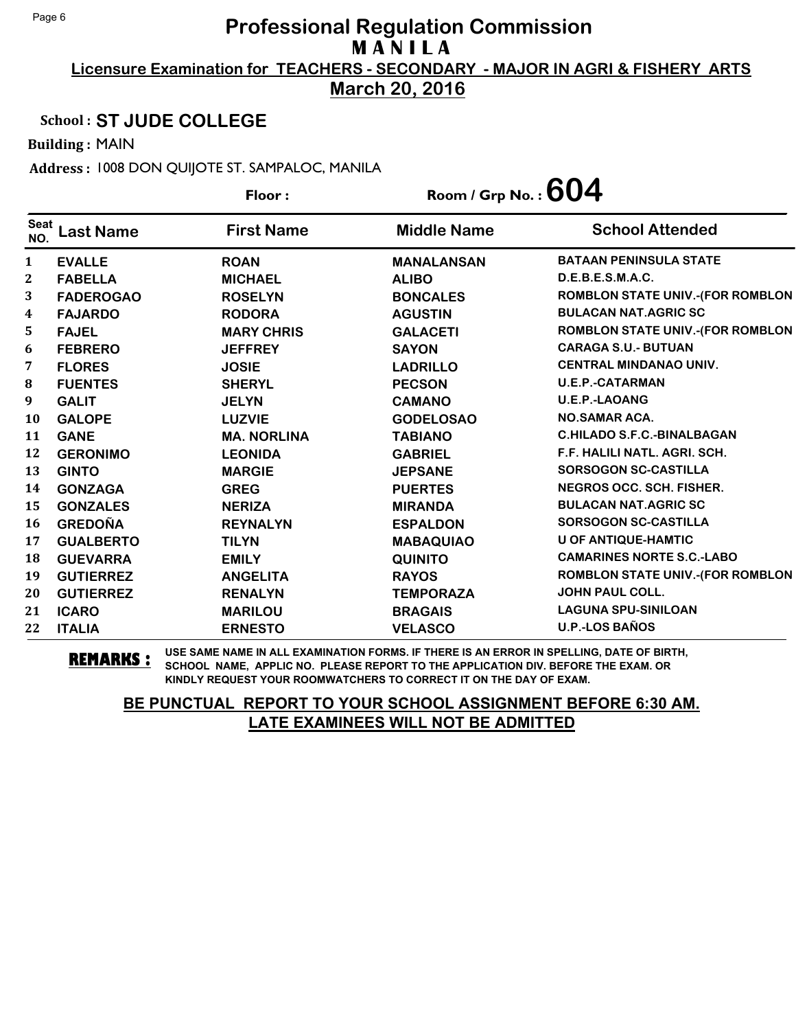**March 20, 2016**

### School : **ST JUDE COLLEGE**

Building : MAIN

Address : 1008 DON QUIJOTE ST. SAMPALOC, MANILA

|                    |                  | Floor:             | Room / Grp No. : $604$ |                                         |
|--------------------|------------------|--------------------|------------------------|-----------------------------------------|
| <b>Seat</b><br>NO. | <b>Last Name</b> | <b>First Name</b>  | <b>Middle Name</b>     | <b>School Attended</b>                  |
| 1                  | <b>EVALLE</b>    | <b>ROAN</b>        | <b>MANALANSAN</b>      | <b>BATAAN PENINSULA STATE</b>           |
| 2                  | <b>FABELLA</b>   | <b>MICHAEL</b>     | <b>ALIBO</b>           | D.E.B.E.S.M.A.C.                        |
| 3                  | <b>FADEROGAO</b> | <b>ROSELYN</b>     | <b>BONCALES</b>        | <b>ROMBLON STATE UNIV.-(FOR ROMBLON</b> |
| 4                  | <b>FAJARDO</b>   | <b>RODORA</b>      | <b>AGUSTIN</b>         | <b>BULACAN NAT.AGRIC SC</b>             |
| 5                  | <b>FAJEL</b>     | <b>MARY CHRIS</b>  | <b>GALACETI</b>        | <b>ROMBLON STATE UNIV.-(FOR ROMBLON</b> |
| 6                  | <b>FEBRERO</b>   | <b>JEFFREY</b>     | <b>SAYON</b>           | <b>CARAGA S.U.- BUTUAN</b>              |
| 7                  | <b>FLORES</b>    | <b>JOSIE</b>       | <b>LADRILLO</b>        | <b>CENTRAL MINDANAO UNIV.</b>           |
| 8                  | <b>FUENTES</b>   | <b>SHERYL</b>      | <b>PECSON</b>          | <b>U.E.P.-CATARMAN</b>                  |
| 9                  | <b>GALIT</b>     | <b>JELYN</b>       | <b>CAMANO</b>          | <b>U.E.P.-LAOANG</b>                    |
| 10                 | <b>GALOPE</b>    | <b>LUZVIE</b>      | <b>GODELOSAO</b>       | <b>NO.SAMAR ACA.</b>                    |
| 11                 | <b>GANE</b>      | <b>MA. NORLINA</b> | <b>TABIANO</b>         | <b>C.HILADO S.F.C.-BINALBAGAN</b>       |
| 12                 | <b>GERONIMO</b>  | <b>LEONIDA</b>     | <b>GABRIEL</b>         | F.F. HALILI NATL. AGRI. SCH.            |
| 13                 | <b>GINTO</b>     | <b>MARGIE</b>      | <b>JEPSANE</b>         | <b>SORSOGON SC-CASTILLA</b>             |
| 14                 | <b>GONZAGA</b>   | <b>GREG</b>        | <b>PUERTES</b>         | <b>NEGROS OCC. SCH. FISHER.</b>         |
| 15                 | <b>GONZALES</b>  | <b>NERIZA</b>      | <b>MIRANDA</b>         | <b>BULACAN NAT.AGRIC SC</b>             |
| 16                 | <b>GREDOÑA</b>   | <b>REYNALYN</b>    | <b>ESPALDON</b>        | <b>SORSOGON SC-CASTILLA</b>             |
| 17                 | <b>GUALBERTO</b> | <b>TILYN</b>       | <b>MABAQUIAO</b>       | <b>U OF ANTIQUE-HAMTIC</b>              |
| 18                 | <b>GUEVARRA</b>  | <b>EMILY</b>       | <b>QUINITO</b>         | <b>CAMARINES NORTE S.C.-LABO</b>        |
| 19                 | <b>GUTIERREZ</b> | <b>ANGELITA</b>    | <b>RAYOS</b>           | <b>ROMBLON STATE UNIV.-(FOR ROMBLON</b> |
| 20                 | <b>GUTIERREZ</b> | <b>RENALYN</b>     | <b>TEMPORAZA</b>       | <b>JOHN PAUL COLL.</b>                  |
| 21                 | <b>ICARO</b>     | <b>MARILOU</b>     | <b>BRAGAIS</b>         | <b>LAGUNA SPU-SINILOAN</b>              |
| 22                 | <b>ITALIA</b>    | <b>ERNESTO</b>     | <b>VELASCO</b>         | <b>U.P.-LOS BAÑOS</b>                   |

**REMARKS :** USE SAME NAME IN ALL EXAMINATION FORMS. IF THERE IS AN ERROR IN SPELLING, DATE OF BIRTH, SCHOOL NAME, APPLIC NO. PLEASE REPORT TO THE APPLICATION DIV. BEFORE THE EXAM. OR KINDLY REQUEST YOUR ROOMWATCHERS TO CORRECT IT ON THE DAY OF EXAM.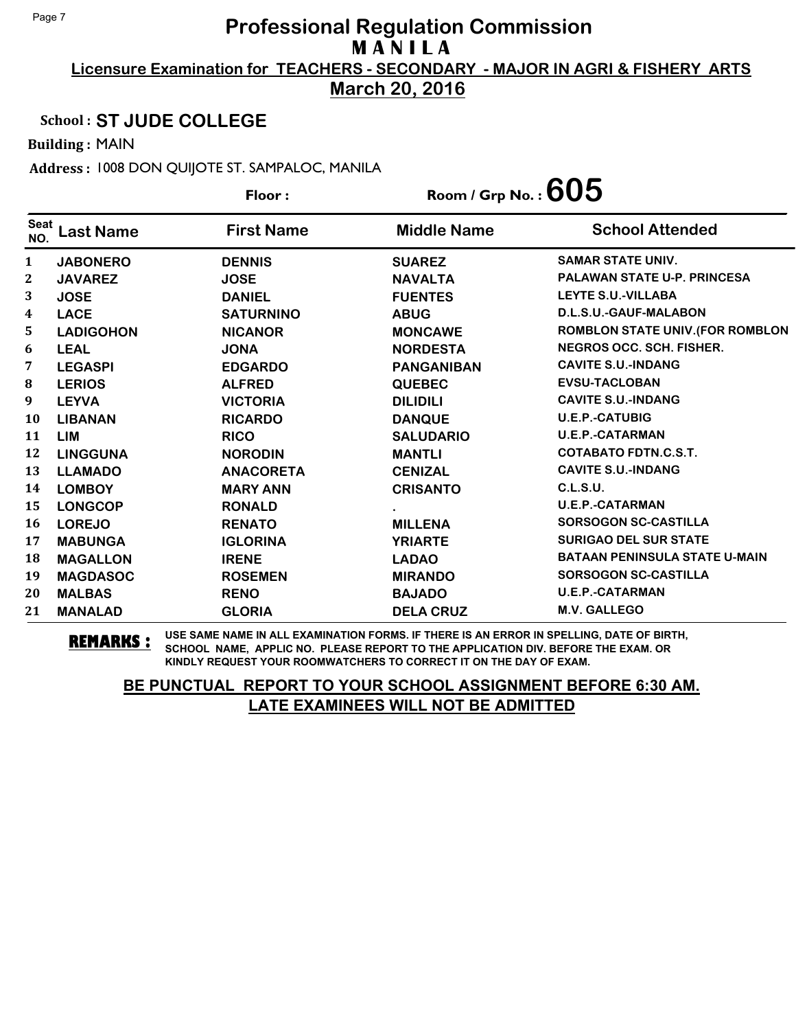**March 20, 2016**

#### School : **ST JUDE COLLEGE**

Building : MAIN

Address : 1008 DON QUIJOTE ST. SAMPALOC, MANILA

|                    |                  | Floor:            | Room / Grp No. : $605$ |                                      |
|--------------------|------------------|-------------------|------------------------|--------------------------------------|
| <b>Seat</b><br>NO. | <b>Last Name</b> | <b>First Name</b> | <b>Middle Name</b>     | <b>School Attended</b>               |
| 1                  | <b>JABONERO</b>  | <b>DENNIS</b>     | <b>SUAREZ</b>          | <b>SAMAR STATE UNIV.</b>             |
| $\mathbf{2}$       | <b>JAVAREZ</b>   | <b>JOSE</b>       | <b>NAVALTA</b>         | <b>PALAWAN STATE U-P. PRINCESA</b>   |
| 3                  | <b>JOSE</b>      | <b>DANIEL</b>     | <b>FUENTES</b>         | <b>LEYTE S.U.-VILLABA</b>            |
| 4                  | <b>LACE</b>      | <b>SATURNINO</b>  | <b>ABUG</b>            | D.L.S.U.-GAUF-MALABON                |
| 5                  | <b>LADIGOHON</b> | <b>NICANOR</b>    | <b>MONCAWE</b>         | ROMBLON STATE UNIV. (FOR ROMBLON     |
| 6                  | <b>LEAL</b>      | <b>JONA</b>       | <b>NORDESTA</b>        | <b>NEGROS OCC. SCH. FISHER.</b>      |
| 7                  | <b>LEGASPI</b>   | <b>EDGARDO</b>    | <b>PANGANIBAN</b>      | <b>CAVITE S.U.-INDANG</b>            |
| ${\bf 8}$          | <b>LERIOS</b>    | <b>ALFRED</b>     | <b>QUEBEC</b>          | <b>EVSU-TACLOBAN</b>                 |
| 9                  | <b>LEYVA</b>     | <b>VICTORIA</b>   | <b>DILIDILI</b>        | <b>CAVITE S.U.-INDANG</b>            |
| 10                 | <b>LIBANAN</b>   | <b>RICARDO</b>    | <b>DANQUE</b>          | <b>U.E.P.-CATUBIG</b>                |
| 11                 | <b>LIM</b>       | <b>RICO</b>       | <b>SALUDARIO</b>       | <b>U.E.P.-CATARMAN</b>               |
| 12                 | <b>LINGGUNA</b>  | <b>NORODIN</b>    | <b>MANTLI</b>          | <b>COTABATO FDTN.C.S.T.</b>          |
| 13                 | <b>LLAMADO</b>   | <b>ANACORETA</b>  | <b>CENIZAL</b>         | <b>CAVITE S.U.-INDANG</b>            |
| 14                 | <b>LOMBOY</b>    | <b>MARY ANN</b>   | <b>CRISANTO</b>        | C.L.S.U.                             |
| 15                 | <b>LONGCOP</b>   | <b>RONALD</b>     |                        | <b>U.E.P.-CATARMAN</b>               |
| 16                 | <b>LOREJO</b>    | <b>RENATO</b>     | <b>MILLENA</b>         | <b>SORSOGON SC-CASTILLA</b>          |
| 17                 | <b>MABUNGA</b>   | <b>IGLORINA</b>   | <b>YRIARTE</b>         | <b>SURIGAO DEL SUR STATE</b>         |
| 18                 | <b>MAGALLON</b>  | <b>IRENE</b>      | <b>LADAO</b>           | <b>BATAAN PENINSULA STATE U-MAIN</b> |
| 19                 | <b>MAGDASOC</b>  | <b>ROSEMEN</b>    | <b>MIRANDO</b>         | <b>SORSOGON SC-CASTILLA</b>          |
| 20                 | <b>MALBAS</b>    | <b>RENO</b>       | <b>BAJADO</b>          | <b>U.E.P.-CATARMAN</b>               |
| 21                 | <b>MANALAD</b>   | <b>GLORIA</b>     | <b>DELA CRUZ</b>       | M.V. GALLEGO                         |

**REMARKS :** USE SAME NAME IN ALL EXAMINATION FORMS. IF THERE IS AN ERROR IN SPELLING, DATE OF BIRTH, SCHOOL NAME, APPLIC NO. PLEASE REPORT TO THE APPLICATION DIV. BEFORE THE EXAM. OR KINDLY REQUEST YOUR ROOMWATCHERS TO CORRECT IT ON THE DAY OF EXAM.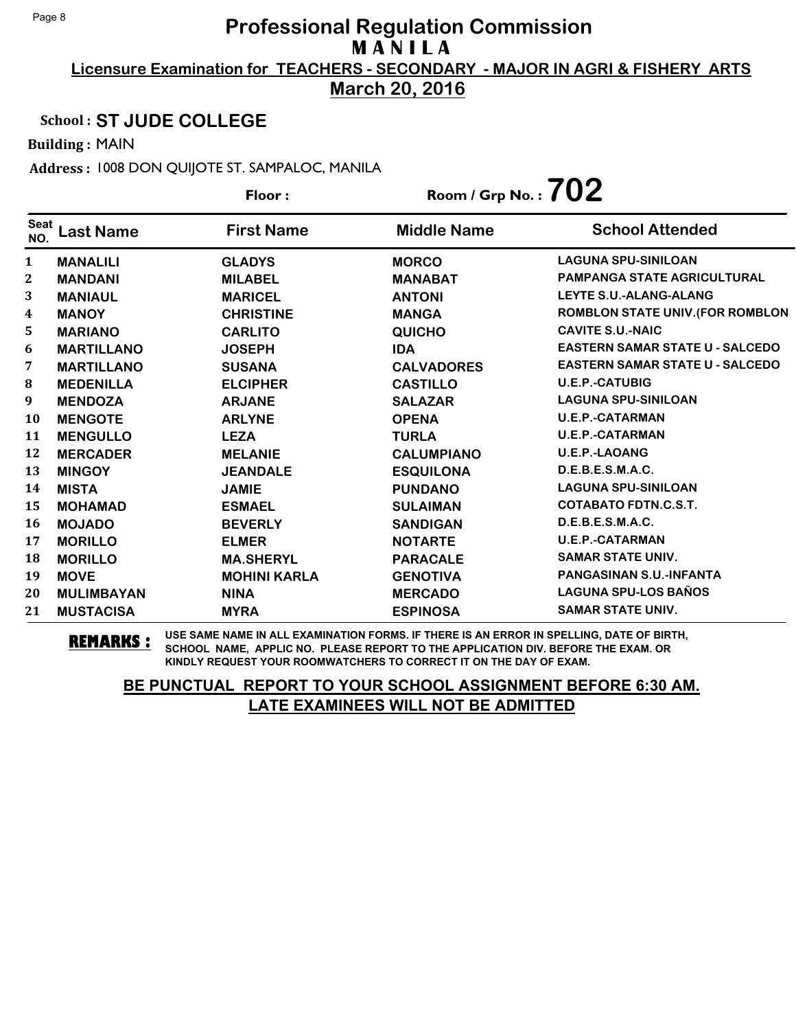**March 20, 2016**

#### School : **ST JUDE COLLEGE**

Building : MAIN

Address : 1008 DON QUIJOTE ST. SAMPALOC, MANILA

|                    |                   | Floor:              | Room / Grp No. : $702$ |                                         |
|--------------------|-------------------|---------------------|------------------------|-----------------------------------------|
| <b>Seat</b><br>NO. | <b>Last Name</b>  | <b>First Name</b>   | <b>Middle Name</b>     | <b>School Attended</b>                  |
| 1                  | <b>MANALILI</b>   | <b>GLADYS</b>       | <b>MORCO</b>           | <b>LAGUNA SPU-SINILOAN</b>              |
| 2                  | <b>MANDANI</b>    | <b>MILABEL</b>      | <b>MANABAT</b>         | <b>PAMPANGA STATE AGRICULTURAL</b>      |
| 3                  | <b>MANIAUL</b>    | <b>MARICEL</b>      | <b>ANTONI</b>          | LEYTE S.U.-ALANG-ALANG                  |
| 4                  | <b>MANOY</b>      | <b>CHRISTINE</b>    | <b>MANGA</b>           | <b>ROMBLON STATE UNIV. (FOR ROMBLON</b> |
| 5                  | <b>MARIANO</b>    | <b>CARLITO</b>      | <b>QUICHO</b>          | <b>CAVITE S.U.-NAIC</b>                 |
| 6                  | <b>MARTILLANO</b> | <b>JOSEPH</b>       | <b>IDA</b>             | <b>EASTERN SAMAR STATE U - SALCEDO</b>  |
| 7                  | <b>MARTILLANO</b> | <b>SUSANA</b>       | <b>CALVADORES</b>      | <b>EASTERN SAMAR STATE U - SALCEDO</b>  |
| 8                  | <b>MEDENILLA</b>  | <b>ELCIPHER</b>     | <b>CASTILLO</b>        | <b>U.E.P.-CATUBIG</b>                   |
| 9                  | <b>MENDOZA</b>    | <b>ARJANE</b>       | <b>SALAZAR</b>         | <b>LAGUNA SPU-SINILOAN</b>              |
| 10                 | <b>MENGOTE</b>    | <b>ARLYNE</b>       | <b>OPENA</b>           | <b>U.E.P.-CATARMAN</b>                  |
| 11                 | <b>MENGULLO</b>   | <b>LEZA</b>         | <b>TURLA</b>           | <b>U.E.P.-CATARMAN</b>                  |
| 12                 | <b>MERCADER</b>   | <b>MELANIE</b>      | <b>CALUMPIANO</b>      | <b>U.E.P.-LAOANG</b>                    |
| 13                 | <b>MINGOY</b>     | <b>JEANDALE</b>     | <b>ESQUILONA</b>       | D.E.B.E.S.M.A.C.                        |
| 14                 | <b>MISTA</b>      | <b>JAMIE</b>        | <b>PUNDANO</b>         | <b>LAGUNA SPU-SINILOAN</b>              |
| 15                 | <b>MOHAMAD</b>    | <b>ESMAEL</b>       | <b>SULAIMAN</b>        | <b>COTABATO FDTN.C.S.T.</b>             |
| 16                 | <b>MOJADO</b>     | <b>BEVERLY</b>      | <b>SANDIGAN</b>        | D.E.B.E.S.M.A.C.                        |
| 17                 | <b>MORILLO</b>    | <b>ELMER</b>        | <b>NOTARTE</b>         | <b>U.E.P.-CATARMAN</b>                  |
| 18                 | <b>MORILLO</b>    | <b>MA.SHERYL</b>    | <b>PARACALE</b>        | <b>SAMAR STATE UNIV.</b>                |
| 19                 | <b>MOVE</b>       | <b>MOHINI KARLA</b> | <b>GENOTIVA</b>        | <b>PANGASINAN S.U.-INFANTA</b>          |
| 20                 | <b>MULIMBAYAN</b> | <b>NINA</b>         | <b>MERCADO</b>         | <b>LAGUNA SPU-LOS BAÑOS</b>             |
| 21                 | <b>MUSTACISA</b>  | <b>MYRA</b>         | <b>ESPINOSA</b>        | <b>SAMAR STATE UNIV.</b>                |

**REMARKS :** USE SAME NAME IN ALL EXAMINATION FORMS. IF THERE IS AN ERROR IN SPELLING, DATE OF BIRTH, SCHOOL NAME, APPLIC NO. PLEASE REPORT TO THE APPLICATION DIV. BEFORE THE EXAM. OR KINDLY REQUEST YOUR ROOMWATCHERS TO CORRECT IT ON THE DAY OF EXAM.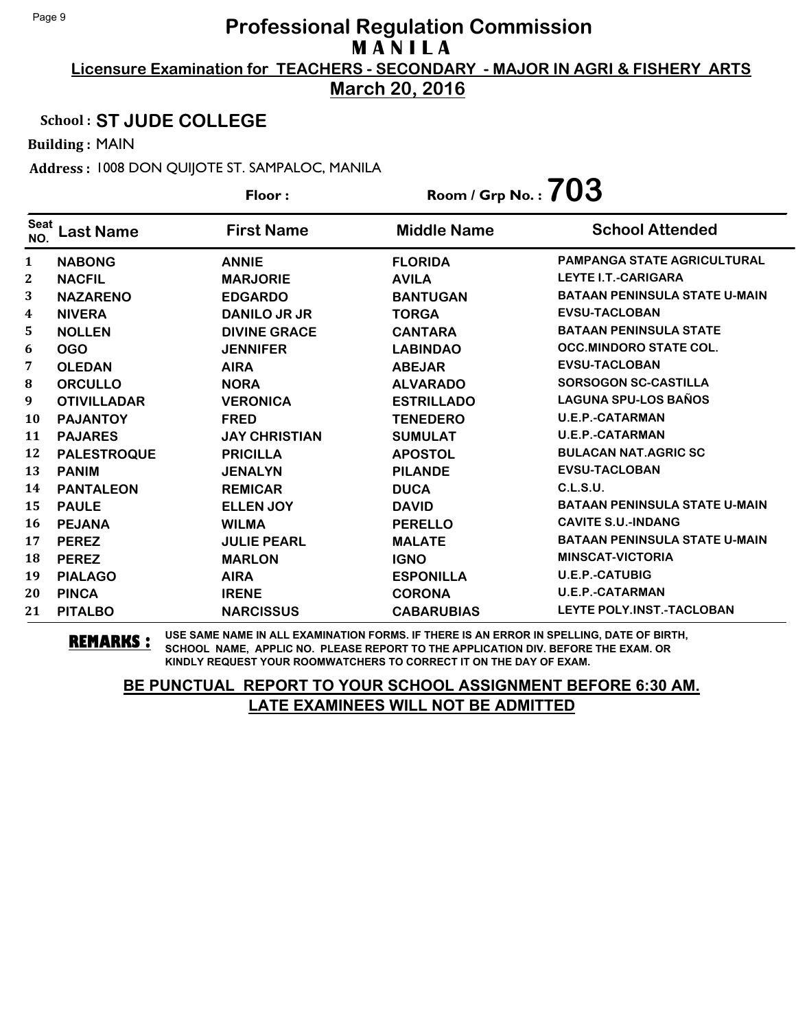**March 20, 2016**

### School : **ST JUDE COLLEGE**

Building : MAIN

Address : 1008 DON QUIJOTE ST. SAMPALOC, MANILA

|                    |                    | Floor:               | Room / Grp No. : $703$ |                                      |
|--------------------|--------------------|----------------------|------------------------|--------------------------------------|
| <b>Seat</b><br>NO. | <b>Last Name</b>   | <b>First Name</b>    | <b>Middle Name</b>     | <b>School Attended</b>               |
| 1                  | <b>NABONG</b>      | <b>ANNIE</b>         | <b>FLORIDA</b>         | <b>PAMPANGA STATE AGRICULTURAL</b>   |
| $\mathbf 2$        | <b>NACFIL</b>      | <b>MARJORIE</b>      | <b>AVILA</b>           | <b>LEYTE I.T.-CARIGARA</b>           |
| 3                  | <b>NAZARENO</b>    | <b>EDGARDO</b>       | <b>BANTUGAN</b>        | <b>BATAAN PENINSULA STATE U-MAIN</b> |
| 4                  | <b>NIVERA</b>      | DANILO JR JR         | <b>TORGA</b>           | <b>EVSU-TACLOBAN</b>                 |
| 5                  | <b>NOLLEN</b>      | <b>DIVINE GRACE</b>  | <b>CANTARA</b>         | <b>BATAAN PENINSULA STATE</b>        |
| 6                  | <b>OGO</b>         | <b>JENNIFER</b>      | <b>LABINDAO</b>        | <b>OCC.MINDORO STATE COL.</b>        |
| 7                  | <b>OLEDAN</b>      | <b>AIRA</b>          | <b>ABEJAR</b>          | <b>EVSU-TACLOBAN</b>                 |
| 8                  | <b>ORCULLO</b>     | <b>NORA</b>          | <b>ALVARADO</b>        | <b>SORSOGON SC-CASTILLA</b>          |
| 9                  | <b>OTIVILLADAR</b> | <b>VERONICA</b>      | <b>ESTRILLADO</b>      | <b>LAGUNA SPU-LOS BAÑOS</b>          |
| 10                 | <b>PAJANTOY</b>    | <b>FRED</b>          | <b>TENEDERO</b>        | <b>U.E.P.-CATARMAN</b>               |
| 11                 | <b>PAJARES</b>     | <b>JAY CHRISTIAN</b> | <b>SUMULAT</b>         | <b>U.E.P.-CATARMAN</b>               |
| 12                 | <b>PALESTROQUE</b> | <b>PRICILLA</b>      | <b>APOSTOL</b>         | <b>BULACAN NAT.AGRIC SC</b>          |
| 13                 | <b>PANIM</b>       | <b>JENALYN</b>       | <b>PILANDE</b>         | <b>EVSU-TACLOBAN</b>                 |
| 14                 | <b>PANTALEON</b>   | <b>REMICAR</b>       | <b>DUCA</b>            | C.L.S.U.                             |
| 15                 | <b>PAULE</b>       | <b>ELLEN JOY</b>     | <b>DAVID</b>           | <b>BATAAN PENINSULA STATE U-MAIN</b> |
| 16                 | <b>PEJANA</b>      | <b>WILMA</b>         | <b>PERELLO</b>         | <b>CAVITE S.U.-INDANG</b>            |
| 17                 | <b>PEREZ</b>       | <b>JULIE PEARL</b>   | <b>MALATE</b>          | <b>BATAAN PENINSULA STATE U-MAIN</b> |
| 18                 | <b>PEREZ</b>       | <b>MARLON</b>        | <b>IGNO</b>            | <b>MINSCAT-VICTORIA</b>              |
| 19                 | <b>PIALAGO</b>     | <b>AIRA</b>          | <b>ESPONILLA</b>       | <b>U.E.P.-CATUBIG</b>                |
| 20                 | <b>PINCA</b>       | <b>IRENE</b>         | <b>CORONA</b>          | <b>U.E.P.-CATARMAN</b>               |
| 21                 | <b>PITALBO</b>     | <b>NARCISSUS</b>     | <b>CABARUBIAS</b>      | <b>LEYTE POLY.INST.-TACLOBAN</b>     |

**REMARKS :** USE SAME NAME IN ALL EXAMINATION FORMS. IF THERE IS AN ERROR IN SPELLING, DATE OF BIRTH, SCHOOL NAME, APPLIC NO. PLEASE REPORT TO THE APPLICATION DIV. BEFORE THE EXAM. OR KINDLY REQUEST YOUR ROOMWATCHERS TO CORRECT IT ON THE DAY OF EXAM.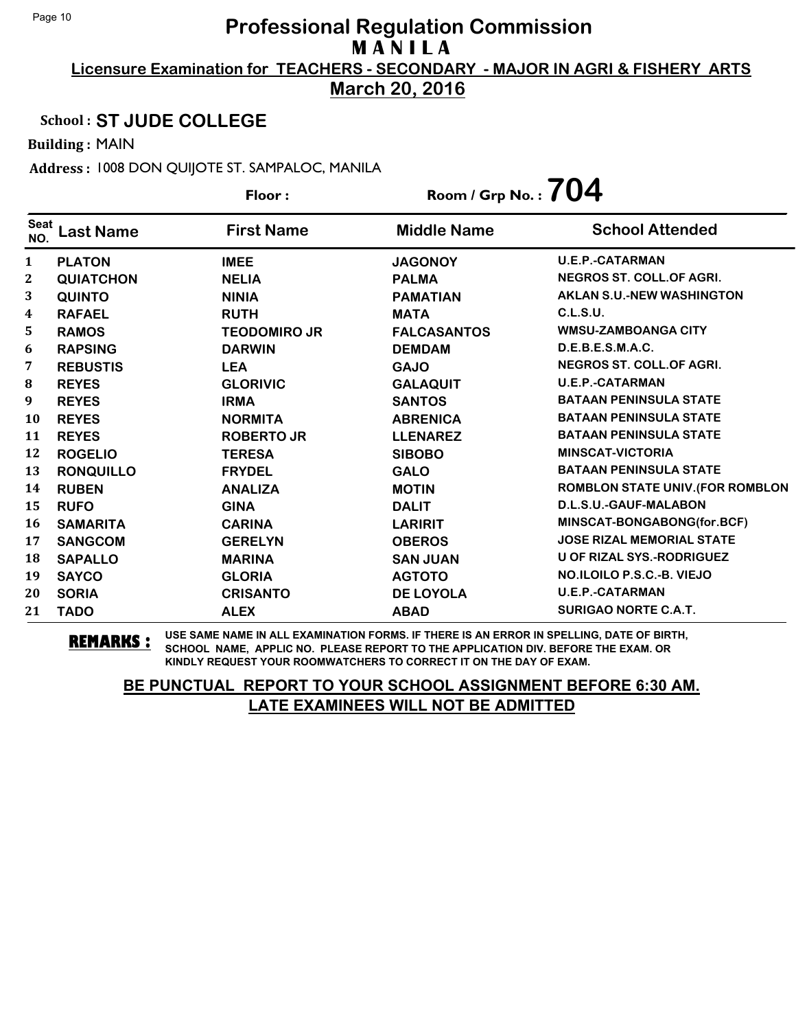**March 20, 2016**

#### School : **ST JUDE COLLEGE**

Building : MAIN

Address : 1008 DON QUIJOTE ST. SAMPALOC, MANILA

|                    |                  | Floor:              | Room / Grp No. : $704$ |                                         |
|--------------------|------------------|---------------------|------------------------|-----------------------------------------|
| <b>Seat</b><br>NO. | Last Name        | <b>First Name</b>   | <b>Middle Name</b>     | <b>School Attended</b>                  |
| 1                  | <b>PLATON</b>    | <b>IMEE</b>         | <b>JAGONOY</b>         | <b>U.E.P.-CATARMAN</b>                  |
| 2                  | <b>QUIATCHON</b> | <b>NELIA</b>        | <b>PALMA</b>           | <b>NEGROS ST. COLL.OF AGRI.</b>         |
| 3                  | <b>QUINTO</b>    | <b>NINIA</b>        | <b>PAMATIAN</b>        | <b>AKLAN S.U.-NEW WASHINGTON</b>        |
| 4                  | <b>RAFAEL</b>    | <b>RUTH</b>         | <b>MATA</b>            | C.L.S.U.                                |
| 5                  | <b>RAMOS</b>     | <b>TEODOMIRO JR</b> | <b>FALCASANTOS</b>     | <b>WMSU-ZAMBOANGA CITY</b>              |
| 6                  | <b>RAPSING</b>   | <b>DARWIN</b>       | <b>DEMDAM</b>          | D.E.B.E.S.M.A.C.                        |
| 7                  | <b>REBUSTIS</b>  | <b>LEA</b>          | <b>GAJO</b>            | <b>NEGROS ST. COLL.OF AGRI.</b>         |
| 8                  | <b>REYES</b>     | <b>GLORIVIC</b>     | <b>GALAQUIT</b>        | <b>U.E.P.-CATARMAN</b>                  |
| 9                  | <b>REYES</b>     | <b>IRMA</b>         | <b>SANTOS</b>          | <b>BATAAN PENINSULA STATE</b>           |
| 10                 | <b>REYES</b>     | <b>NORMITA</b>      | <b>ABRENICA</b>        | <b>BATAAN PENINSULA STATE</b>           |
| 11                 | <b>REYES</b>     | <b>ROBERTO JR</b>   | <b>LLENAREZ</b>        | <b>BATAAN PENINSULA STATE</b>           |
| 12                 | <b>ROGELIO</b>   | <b>TERESA</b>       | <b>SIBOBO</b>          | <b>MINSCAT-VICTORIA</b>                 |
| 13                 | <b>RONQUILLO</b> | <b>FRYDEL</b>       | <b>GALO</b>            | <b>BATAAN PENINSULA STATE</b>           |
| 14                 | <b>RUBEN</b>     | <b>ANALIZA</b>      | <b>MOTIN</b>           | <b>ROMBLON STATE UNIV. (FOR ROMBLON</b> |
| 15                 | <b>RUFO</b>      | <b>GINA</b>         | <b>DALIT</b>           | D.L.S.U.-GAUF-MALABON                   |
| 16                 | <b>SAMARITA</b>  | <b>CARINA</b>       | <b>LARIRIT</b>         | MINSCAT-BONGABONG(for.BCF)              |
| 17                 | <b>SANGCOM</b>   | <b>GERELYN</b>      | <b>OBEROS</b>          | <b>JOSE RIZAL MEMORIAL STATE</b>        |
| 18                 | <b>SAPALLO</b>   | <b>MARINA</b>       | <b>SAN JUAN</b>        | <b>U OF RIZAL SYS.-RODRIGUEZ</b>        |
| 19                 | <b>SAYCO</b>     | <b>GLORIA</b>       | <b>AGTOTO</b>          | NO.ILOILO P.S.C.-B. VIEJO               |
| 20                 | <b>SORIA</b>     | <b>CRISANTO</b>     | <b>DE LOYOLA</b>       | <b>U.E.P.-CATARMAN</b>                  |
| 21                 | <b>TADO</b>      | <b>ALEX</b>         | <b>ABAD</b>            | <b>SURIGAO NORTE C.A.T.</b>             |

**REMARKS :** USE SAME NAME IN ALL EXAMINATION FORMS. IF THERE IS AN ERROR IN SPELLING, DATE OF BIRTH, SCHOOL NAME, APPLIC NO. PLEASE REPORT TO THE APPLICATION DIV. BEFORE THE EXAM. OR KINDLY REQUEST YOUR ROOMWATCHERS TO CORRECT IT ON THE DAY OF EXAM.